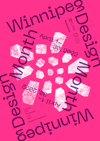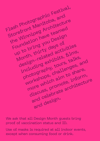

We ask that all Design Month guests bring proof of vaccination status and ID.

Use of masks is required at all indoor events, except when consuming food or drink.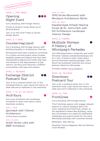

### APRIL 1, 7PM-10PM

# Opening Night Event



Curry Building, 245 Portage Avenue

Drinks by Graeme Young. Music by DJ Particle Board.

Join us on this First Friday to launch Design Month.

### APRIL 2, 1-5PM

# Countermap.land

Curry Building, 245 Portage Avenue, with Building Equality in Architecture: Prairies

Participants have been invited to contribute to a crowd-sourced project which locates tangible spaces and objects that have been represented by figures and events that have contributed to the dispossession of life memory, territory and resources, of BIPOC communities, both past and present.

### APRIL 3, 10:30AM

# Exchange District Postcard Tour



Join us for a postcard photo tour in the Exchange District. Learn about the history of what was and is reflected in the postcards.

### APRIL 7, 14, 21, 28, NOON

# ArchTours

Join local Architects and Landscape Architects to learn more about recent downtown projects.

APRIL 7, 12PM

Qaumajuk with Cibinel Architecture Limited spaces available.

#### APRIL 14, 12PM

Smith Street Lofts with MMP Architects

### APRIL 21, 12PM

1919 Strike Monument with Monteyne Architecture Works

#### APRIL 28, 12PM

Kapabamayak Achaak Healing Forest @ St. John's Park with ft3 Architecture Landscape Interior Design

### APRIL 9, 1:30PM

# Multiple Storeys: A History of Winnipeg's Parkades

Join Winnipeg history researcher and writer Christian Cassidy (westenddumplings.com) for a tour of several multi-level, above ground downtown parking garages. Learn about the building's histories and unique features. Maximum 20 people.

Purchase tickets: bit.ly/3qdIcnX

### APRIL 10, 10:30AM

# Downtown Postcard Tour



Join us for a postcard photo tour in the downtown area. Learn about the history of what was and is reflected in the postcards.

### APRIL 14, 7PM

### Frontlines

Curry Building, 245 Portage Avenue

This Frontlines session will engage relevant experts in critical dialogue about the socio-political and historical context of the significant Hudson Bay Building, using this conversation as a basis for addressing challenges and opportunities for the many Winnipeg buildings with uncertain futures.

Moderator: Glen Murray

Panelists: Uzoma Asagwara, Murray Peterson, Colin Neufeld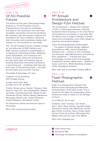

#### APRIL 1-30

# Of All Possible Futures

The theme of this year's Winnipeg Design Festival is "Of All Possible Futures". Programming is focused on buildings and sites in the downtown core that have struggled, especially during the pandemic. We consider past and present states as the foundation for future ideation, believing that innovative and progressive design will change our communities for the better.

The "Of All Possible Futures" exhibit curated by Joe Kalturnyk of RAW: Gallery and RAW: Almond, presents an assemblage of contemporary Winnipeg artists, designers, poets, filmmakers, and musicians who dream of futures using the remnants of the day. Each team of creatives uses an existing downtown Winnipeg building as a launching pad – buildings that have all been wary of the wrecking ball – all with storied pasts and uncertain futures.

Thursdays & Saturdays, 12-4pm

Location: Curry Building, 245 Portage Avenue

Curator and Artist Talk: Sunday, April 10, 12:30pm

Artists: Teresa Lyons, Hannah Thiessen, Kate Sherrin, Iman Ali, Tony Neustaedter, Rhayne Vermette, Chimwemwe Undi, Nathan Krahn, Alexandra Elliott, Neilla Hawley, Mackenzie Skoczylas, Nicole Luke, Jonato Dalayoan, Josiah Dalayoan, Jacqueline Young.

All Storefront events are free and open to the public.

More info: [storefrontmb.ca/wdf](http://storefrontmb.ca/wdf)

### APRIL 6-10

# 11th Annual Architecture and Design Film Festival

The Architecture + Design Film Festival (A+DFF) in Winnipeg presents critically acclaimed films focusing on the importance of architecture and design in everyday life. The films cover a range of design-oriented topics from architecture and urban design to graphics and product design.

Films: Building Bastille, Grethe Meyer – The Queen of Danish Design, Magical Imperfection, MAU, Venice Elsewhere, Paradise Lost – History in the Unmaking, The Automat, High Maintenance, Archishorts, Rick Leplastrier – Framing the View, Archipelago, Another Kind of Knowledge, Prospettiva Olivetti, Maija Isola – Master of Colour and Form, White Building, Klostes/ Folds, Paradigme Olivietti,

More info and to purchase tickets: adff.ca

### APRIL 1-30 Flash Photographic Festival



Flash is a photographic festival that features local Winnipeg and Manitoba photographers of all skill levels. It is a venue for all types of photography where photos are hung on walls for all 30 days of April.

It is FREE for all to see!

Exhibits: Colin Corneau, Tim Smith, Gerry Yaum, Skye Callow, Iyunade Judah, Jacqueline Young, Sam Baardman, Anneli Epp, Dmitry Kirshner, Darcy Finley, David Firman, Erica de la Rosa, Winnipeg Film Makers Hub and Fox Lake Cree Nation

More info: [flashfest.net](http://flashfest.net)

Legend **Flash Photo Fest** 

Storefront MB

Winnipeg Architecture Foundation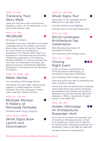### APRIL 16, 1PM

# Transcona Trail Story Walk

Transcona Trail Park with cartoonist Kaj Hasselriis. Author of The Golden Boy in the case of the missing cube.

### APRIL 22, 7PM

# 10x20x20



10x20x20 is an event intended to encourage a dialogue among the creative community about ideas, issues, and events. Organized as a joint venture by the Manitoba Association of Architects (MAA) Interns in Architecture Committee and the University of Manitoba Association of Architecture Students (UMAAS), it continues through the hard work of a dedicated committee, and generous sponsors including the Manitoba Association of Architects and the Winnipeg Art Gallery.

### APRIL 23, 10AM-4PM

### Maker Market

Curry Building, 245 Portage Avenue

This design-focused maker market brings together a curated selection of local designers who have cultivated a unique craft using their design training.

### APRIL 23, 1:30 PM

Multiple Storeys: A History of Winnipeg Parkades Purchase tickets: [bit.ly/3whsQCH](http://bit.ly/3whsQCH)

### APRIL 23 @ 8:30PM

Ghost Signs Book Launch and Illumination



### APRIL 24, 10:30AM

### Ghost Signs Tour

Ghost Signs in the Exchange District Walking Tour with Matt Cohen

Purchase tickets: [bit.ly/3N0KZee](http://bit.ly/3N0KZee)

Includes copy of new Ghost Signs Book.

### APRIL 26, 6PM

### World Landscape Architecture Day Celebration

With Manitoba Association of Landscape Architects

Curry Building, 245 Portage Avenue

### APRIL 28, 7-10PM

Night Event

Closing



Drinks by Graeme Young. Music by DJ Particle Board. With Faculty of Architecture University of Manitoba

Curry Building, 245 Portage Avenue

Featuring launch and sale of Unstacking the Deck: A Game of Change

Launch and sale of a double deck of playing cards celebrating early women architects and designers who studied and worked in Manitoba: from the first female UM B.Arch graduate in 1932, to women who forged careers in the 1960-70s.

### APRIL 30, 1PM

# Hidden Winnipeg: An Architectural Scavenger Hunt



Join us for an architectural scavenger hunt of downtown Winnipeg. By bike, on foot or by wheelchair, solve clues to discover the stories behind Winnipeg buildings and landmarks. Teams of all ages are welcome.

Purchase tickets: bit.ly/3wdoHzG

### All events are free unless otherwise noted.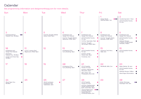# Calendar

See programming information and designmonthwpg.com for more details.

| Sun                                                                                                                                                          | Mon                                                     | Tue                                                                        | Wed                                                                                                            | <b>Thur</b>                                                                                                                                                                                                                                  | Fri                                                                                                            | Sat                                                                                                                                                                     |
|--------------------------------------------------------------------------------------------------------------------------------------------------------------|---------------------------------------------------------|----------------------------------------------------------------------------|----------------------------------------------------------------------------------------------------------------|----------------------------------------------------------------------------------------------------------------------------------------------------------------------------------------------------------------------------------------------|----------------------------------------------------------------------------------------------------------------|-------------------------------------------------------------------------------------------------------------------------------------------------------------------------|
|                                                                                                                                                              |                                                         |                                                                            |                                                                                                                |                                                                                                                                                                                                                                              | $\bullet\bullet\bullet$<br>Design Month<br>Opening Night, 7pm                                                  | $\overline{2}$<br>Countermap.land, 1-5pm<br>Of All Possible Futures,<br>$12-4$ pm                                                                                       |
| 3<br>Exchange District<br>$\bullet\bullet$<br>Postcard Tour, 10:30am                                                                                         | 4                                                       | 5<br>Food for Thought: Debbie<br>Golub, FAUM, 12pm                         | 6<br>$\bullet$<br>Architecture and<br>Design Film Festival<br>Food for Thought: Manda<br>Yakiwchuk, FAUM, 12pm | $\overline{7}$<br>Architecture and<br>$\bullet$<br>Design Film Festival<br>$\bullet$<br>Of All Possible Futures,<br>$12-4$ pm<br>ArchTour: Qaumajuk, 12pm<br>Food for Thought:<br>Ola Hiraeth, FAUM, 12pm                                    | 8<br>$\bullet$<br>Architecture and<br>Design Film Festival<br>Food for Thought: Sylvia<br>Benedito, FAUM, 12pm | $\overline{Q}$<br>Architecture and<br>Design Film Festival<br>Of All Possible Futures,<br>$12-4$ pm<br>Multiple Storeys:<br>A History of Winnipeg's<br>Parkades, 1:30pm |
| 10<br>Architecture and<br>$\bullet$<br>Design Film Festival<br>$\bullet\bullet$<br>Downtown<br>Postcard Tour, 10:30am<br>Curator and Artist Talk,<br>12:30pm | -11<br>C.A.S.T. Lecture: Paul<br>Mayencourt, FAUM, 12pm | 12                                                                         | 13<br>Architecture Film,<br>$\bullet$<br>Curry Building, 12pm                                                  | 14<br>Of All Possible Futures,<br>$\bullet$<br>$12-4$ pm<br>$\bullet$<br>ArchTour: Smith<br>Street Lofts, 12pm<br>Frontlines, 7pm<br>$\bullet$                                                                                               | 15<br>Transcona Trail Story<br>$\bullet$<br>Walk, 1pm                                                          | 16<br>Of All Possible Futures,<br>$12-4$ pm                                                                                                                             |
| 17                                                                                                                                                           | 18                                                      | 19                                                                         | 20<br>Architecture Film,<br>$\bullet$<br>Curry Building, 12pm                                                  | 2 <sub>1</sub><br>Of All Possible<br>$\bullet$<br>Futures, 12-4pm<br>ArchTour: 1919 Strike<br>$\bullet$<br>Monument, 12pm<br>$\bullet$<br>Gerry Yaum, 7pm<br>Photography show talk                                                           | 22<br>10x20x20, WAG, 7pm                                                                                       | 23<br>Maker Market, 10-4pm<br>Of All Possible Futures,<br>$12-4$ pm<br>Multiple Storeys, 1:30pm<br>Ghost Signs Illumination $\qquad \qquad \bullet$                     |
| 24<br>Ghost Signs Tour,<br>$\bullet$<br>10:30am                                                                                                              | 25                                                      | 26<br>World Landscape<br>$\bullet$<br>Architecture Day<br>Celebration, 6pm | 27                                                                                                             | 28<br>Of All Possible<br>$\bullet$<br>Futures, 12-4pm<br>ArchTour: Kapabamayak<br>$\bullet$<br>Achaak Healing Forest<br>@ St. John's Park, 12pm<br>Closing Night Event, OOO<br>Drinks by Graeme<br>Young, Music by<br>DJ Particle Board, 7pm | 29                                                                                                             | 30<br>$\bullet\bullet$<br>Hidden Winnipeg<br>Scavenger Hunt, 1pm                                                                                                        |